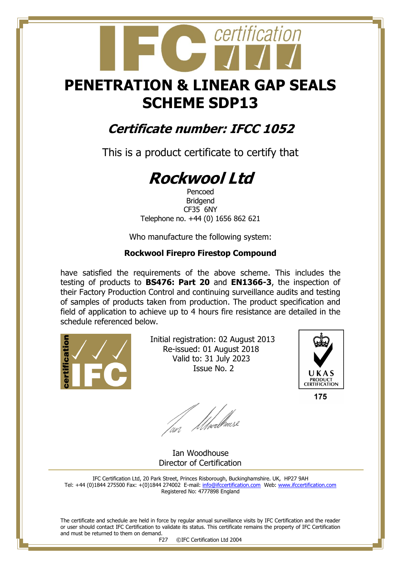## **PENETRATION & LINEAR GAP SEALS SCHEME SDP13**

certification

### **Certificate number: IFCC 1052**

This is a product certificate to certify that

# **Rockwool Ltd**

Pencoed Bridgend CF35 6NY Telephone no. +44 (0) 1656 862 621

Who manufacture the following system:

#### **Rockwool Firepro Firestop Compound**

have satisfied the requirements of the above scheme. This includes the testing of products to **BS476: Part 20** and **EN1366-3**, the inspection of their Factory Production Control and continuing surveillance audits and testing of samples of products taken from production. The product specification and field of application to achieve up to 4 hours fire resistance are detailed in the schedule referenced below.



 Initial registration: 02 August 2013 Re-issued: 01 August 2018 Valid to: 31 July 2023 Issue No. 2



175

fan Moedhouse

 Ian Woodhouse Director of Certification

IFC Certification Ltd, 20 Park Street, Princes Risborough, Buckinghamshire. UK, HP27 9AH Tel: +44 (0)1844 275500 Fax: +(0)1844 274002 E-mail[: info@ifccertification.com](mailto:info@ifccertification.com) Web: [www.ifccertification.com](http://www.ifccertification.com/) Registered No: 4777898 England

The certificate and schedule are held in force by regular annual surveillance visits by IFC Certification and the reader or user should contact IFC Certification to validate its status. This certificate remains the property of IFC Certification and must be returned to them on demand.